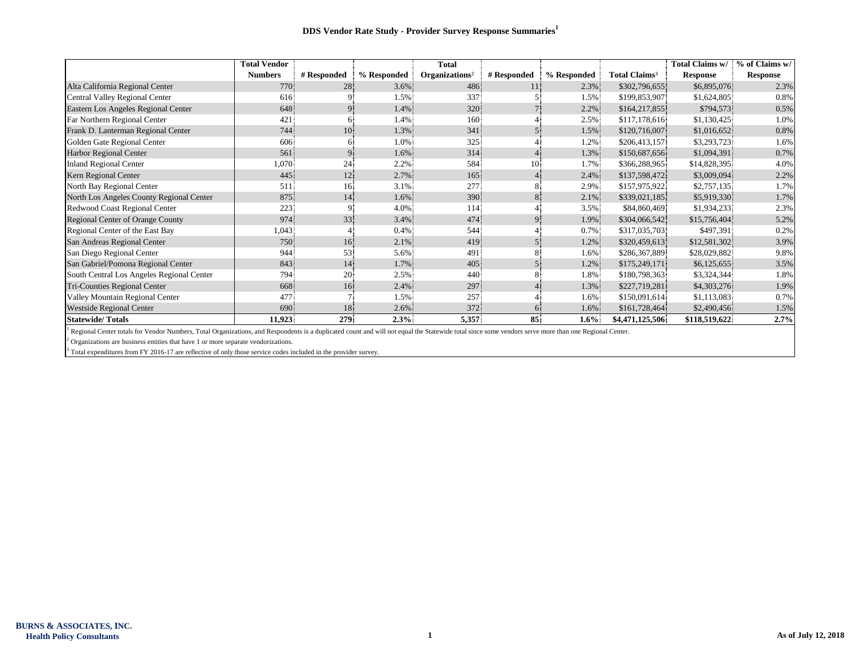|                                           | <b>Total Vendor</b> |                |             | <b>Total</b>               |             |             |                           | Total Claims w/ | % of Claims w/  |
|-------------------------------------------|---------------------|----------------|-------------|----------------------------|-------------|-------------|---------------------------|-----------------|-----------------|
|                                           | <b>Numbers</b>      | # Responded    | % Responded | Organizations <sup>2</sup> | # Responded | % Responded | Total Claims <sup>3</sup> | Response        | <b>Response</b> |
| Alta California Regional Center           | 770                 | 28             | $3.6\%$     | 486.                       | 11          | 2.3%        | \$302,796,655             | \$6,895,076     | 2.3%            |
| Central Valley Regional Center            | 616                 |                | 1.5%        | 337                        |             | 1.5%        | \$199,853,907             | \$1,624,805     | 0.8%            |
| Eastern Los Angeles Regional Center       | 648                 |                | 1.4%        | 320                        |             | 2.2%        | \$164,217,855             | \$794,573       | 0.5%            |
| Far Northern Regional Center              | 421                 | 6.             | 1.4%        | 160                        |             | 2.5%        | \$117,178,616             | \$1,130,425     | 1.0%            |
| Frank D. Lanterman Regional Center        | 744                 | 10             | 1.3%        | 341                        | 5.          | 1.5%        | \$120,716,007             | \$1,016,652     | 0.8%            |
| Golden Gate Regional Center               | 606                 | 6.             | 1.0%        | 325                        |             | 1.2%        | \$206,413,157             | \$3,293,723     | 1.6%            |
| <b>Harbor Regional Center</b>             | 561                 | 9 <sup>1</sup> | 1.6%        | 314                        |             | 1.3%        | \$150,687,656             | \$1,094,391     | 0.7%            |
| <b>Inland Regional Center</b>             | 1,070               | 24             | 2.2%        | 584                        | 10.         | 1.7%        | \$366,288,965             | \$14,828,395    | 4.0%            |
| Kern Regional Center                      | 445                 | 12             | 2.7%        | 165                        |             | 2.4%        | \$137,598,472             | \$3,009,094     | 2.2%            |
| North Bay Regional Center                 | 511                 | 16             | 3.1%        | 277                        |             | 2.9%        | \$157,975,922             | \$2,757,135     | 1.7%            |
| North Los Angeles County Regional Center  | 875                 | 14             | 1.6%        | 390                        | 8           | 2.1%        | \$339,021,185             | \$5,919,330     | 1.7%            |
| Redwood Coast Regional Center             | 223                 | 9              | 4.0%        | 114                        |             | 3.5%        | \$84,860,469              | \$1,934,233     | 2.3%            |
| <b>Regional Center of Orange County</b>   | 974                 | 33             | 3.4%        | 474                        |             | 1.9%        | \$304,066,542             | \$15,756,404    | 5.2%            |
| Regional Center of the East Bay           | 1,043               |                | 0.4%        | 544                        |             | 0.7%        | \$317,035,703             | \$497,391       | 0.2%            |
| San Andreas Regional Center               | 750                 | 16             | 2.1%        | 419                        |             | 1.2%        | \$320,459,613             | \$12,581,302    | 3.9%            |
| San Diego Regional Center                 | 944                 | 53             | 5.6%        | 491                        |             | 1.6%        | \$286,367,889             | \$28,029,882    | 9.8%            |
| San Gabriel/Pomona Regional Center        | 843                 | 14             | 1.7%        | 405                        |             | 1.2%        | \$175,249,171             | \$6,125,655     | 3.5%            |
| South Central Los Angeles Regional Center | 794                 | 20             | 2.5%        | 440                        | 8.          | 1.8%        | \$180,798,363             | \$3,324,344     | 1.8%            |
| Tri-Counties Regional Center              | 668                 | 16             | $2.4\%$     | 297                        |             | 1.3%        | \$227,719,281             | \$4,303,276     | 1.9%            |
| Valley Mountain Regional Center           | 477                 |                | 1.5%        | 257                        |             | 1.6%        | \$150,091,614             | \$1,113,083     | 0.7%            |
| <b>Westside Regional Center</b>           | 690                 | 18             | 2.6%        | 372                        | 6.          | $1.6\%$     | \$161,728,464             | \$2,490,456     | 1.5%            |
| <b>Statewide/Totals</b>                   | 11,923              | 279            | 2.3%        | 5,357                      | 85          | $1.6\%$     | \$4,471,125,506           | \$118,519,622   | 2.7%            |

<sup>1</sup> Regional Center totals for Vendor Numbers, Total Organizations, and Respondents is a duplicated count and will not equal the Statewide total since some vendors serve more than one Regional Center.

 $2$  Organizations are business entities that have 1 or more separate vendorizations.

<sup>3</sup> Total expenditures from FY 2016-17 are reflective of only those service codes included in the provider survey.